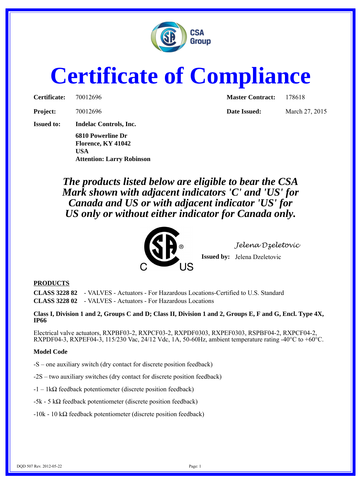

## **Certificate of Compliance**

| Certificate: | 7001269 |
|--------------|---------|
|              |         |

**Project:** 70012696 **Date Issued:** March 27, 2015

**Issued to: Indelac Controls, Inc.**

**6810 Powerline Dr Florence, KY 41042 USA Attention: Larry Robinson**

**Certificate:** 70012696 **Master Contract:** 178618

*The products listed below are eligible to bear the CSA Mark shown with adjacent indicators 'C' and 'US' for Canada and US or with adjacent indicator 'US' for US only or without either indicator for Canada only.*



*Jelena Dzeletovic*

**Issued by:** Jelena Dzeletovic

## **PRODUCTS**

**CLASS 3228 82** - VALVES - Actuators - For Hazardous Locations-Certified to U.S. Standard **CLASS 3228 02** - VALVES - Actuators - For Hazardous Locations

**Class I, Division 1 and 2, Groups C and D; Class II, Division 1 and 2, Groups E, F and G, Encl. Type 4X, IP66**

Electrical valve actuators, RXPBF03-2, RXPCF03-2, RXPDF0303, RXPEF0303, RSPBF04-2, RXPCF04-2, RXPDF04-3, RXPEF04-3, 115/230 Vac, 24/12 Vdc, 1A, 50-60Hz, ambient temperature rating -40 $^{\circ}$ C to +60 $^{\circ}$ C.

## **Model Code**

-S – one auxiliary switch (dry contact for discrete position feedback)

-2S – two auxiliary switches (dry contact for discrete position feedback)

 $-1 - 1k\Omega$  feedback potentiometer (discrete position feedback)

 $-5k - 5k$  = εκαιτικό του επιλεύτερου του επιλεύτερο του εκατολογία του επιλεύτερου του επιλεύτερου του επιλεύτερου του επιλεύτερου του επιλεύτερου του επιλεύτερου του επιλεύτερου του επιλεύτερου του επιλεύτερου του επιλε

-10k - 10 kΩ feedback potentiometer (discrete position feedback)